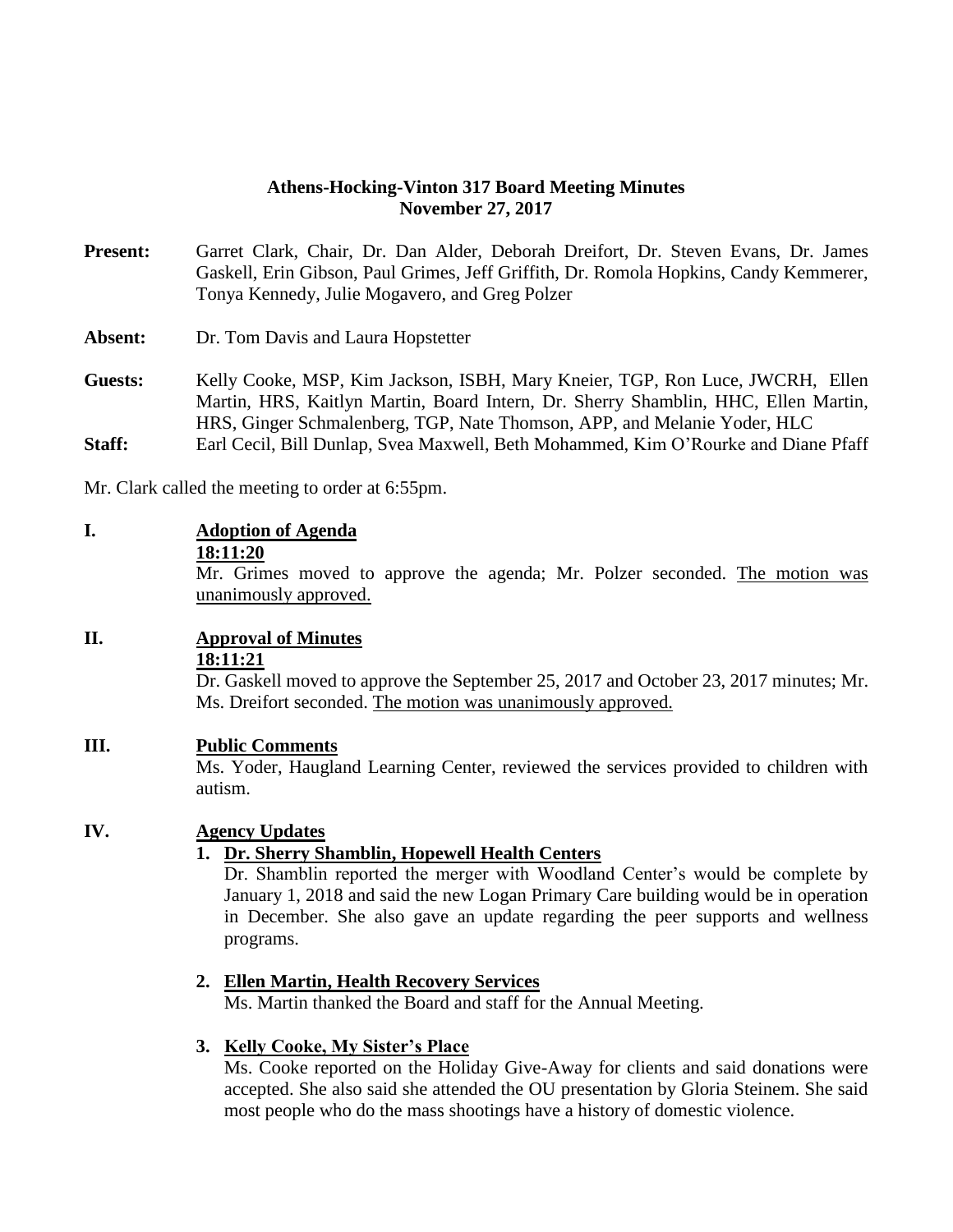#### **Athens-Hocking-Vinton 317 Board Meeting Minutes November 27, 2017**

**Present:** Garret Clark, Chair, Dr. Dan Alder, Deborah Dreifort, Dr. Steven Evans, Dr. James Gaskell, Erin Gibson, Paul Grimes, Jeff Griffith, Dr. Romola Hopkins, Candy Kemmerer, Tonya Kennedy, Julie Mogavero, and Greg Polzer

**Absent:** Dr. Tom Davis and Laura Hopstetter

**Guests:** Kelly Cooke, MSP, Kim Jackson, ISBH, Mary Kneier, TGP, Ron Luce, JWCRH, Ellen Martin, HRS, Kaitlyn Martin, Board Intern, Dr. Sherry Shamblin, HHC, Ellen Martin, HRS, Ginger Schmalenberg, TGP, Nate Thomson, APP, and Melanie Yoder, HLC **Staff:** Earl Cecil, Bill Dunlap, Svea Maxwell, Beth Mohammed, Kim O'Rourke and Diane Pfaff

Mr. Clark called the meeting to order at 6:55pm.

#### **I. Adoption of Agenda**

#### **18:11:20**

Mr. Grimes moved to approve the agenda; Mr. Polzer seconded. The motion was unanimously approved.

#### **II. Approval of Minutes**

#### **18:11:21**

Dr. Gaskell moved to approve the September 25, 2017 and October 23, 2017 minutes; Mr. Ms. Dreifort seconded. The motion was unanimously approved.

#### **III. Public Comments**

Ms. Yoder, Haugland Learning Center, reviewed the services provided to children with autism.

#### **IV. Agency Updates**

#### **1. Dr. Sherry Shamblin, Hopewell Health Centers**

Dr. Shamblin reported the merger with Woodland Center's would be complete by January 1, 2018 and said the new Logan Primary Care building would be in operation in December. She also gave an update regarding the peer supports and wellness programs.

#### **2. Ellen Martin, Health Recovery Services**

Ms. Martin thanked the Board and staff for the Annual Meeting.

#### **3. Kelly Cooke, My Sister's Place**

Ms. Cooke reported on the Holiday Give-Away for clients and said donations were accepted. She also said she attended the OU presentation by Gloria Steinem. She said most people who do the mass shootings have a history of domestic violence.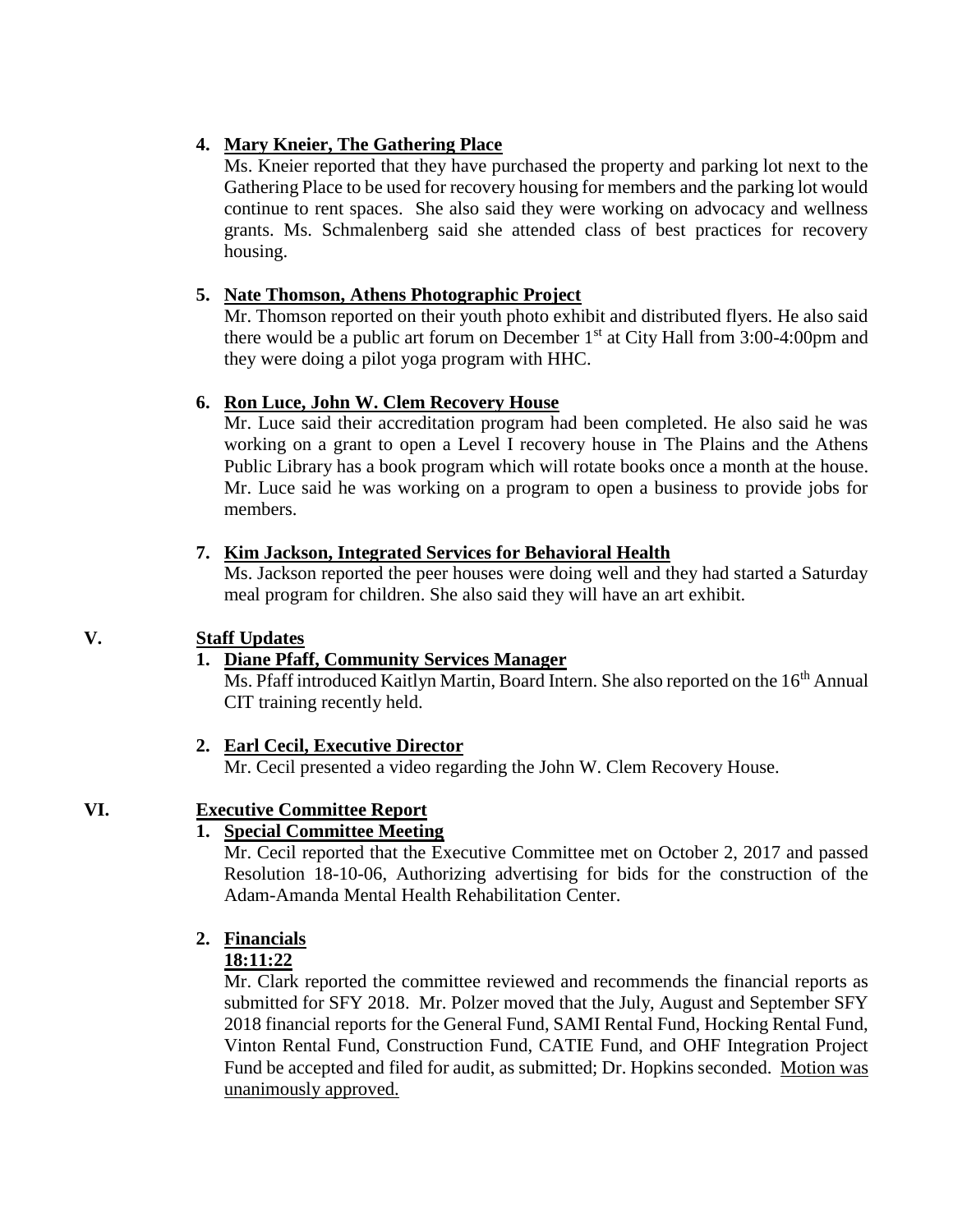# **4. Mary Kneier, The Gathering Place**

Ms. Kneier reported that they have purchased the property and parking lot next to the Gathering Place to be used for recovery housing for members and the parking lot would continue to rent spaces. She also said they were working on advocacy and wellness grants. Ms. Schmalenberg said she attended class of best practices for recovery housing.

## **5. Nate Thomson, Athens Photographic Project**

Mr. Thomson reported on their youth photo exhibit and distributed flyers. He also said there would be a public art forum on December  $1<sup>st</sup>$  at City Hall from 3:00-4:00pm and they were doing a pilot yoga program with HHC.

# **6. Ron Luce, John W. Clem Recovery House**

Mr. Luce said their accreditation program had been completed. He also said he was working on a grant to open a Level I recovery house in The Plains and the Athens Public Library has a book program which will rotate books once a month at the house. Mr. Luce said he was working on a program to open a business to provide jobs for members.

### **7. Kim Jackson, Integrated Services for Behavioral Health**

Ms. Jackson reported the peer houses were doing well and they had started a Saturday meal program for children. She also said they will have an art exhibit.

# **V. Staff Updates**

# **1. Diane Pfaff, Community Services Manager**

Ms. Pfaff introduced Kaitlyn Martin, Board Intern. She also reported on the 16<sup>th</sup> Annual CIT training recently held.

# **2. Earl Cecil, Executive Director**

Mr. Cecil presented a video regarding the John W. Clem Recovery House.

# **VI. Executive Committee Report**

# **1. Special Committee Meeting**

Mr. Cecil reported that the Executive Committee met on October 2, 2017 and passed Resolution 18-10-06, Authorizing advertising for bids for the construction of the Adam-Amanda Mental Health Rehabilitation Center.

# **2. Financials**

# **18:11:22**

Mr. Clark reported the committee reviewed and recommends the financial reports as submitted for SFY 2018. Mr. Polzer moved that the July, August and September SFY 2018 financial reports for the General Fund, SAMI Rental Fund, Hocking Rental Fund, Vinton Rental Fund, Construction Fund, CATIE Fund, and OHF Integration Project Fund be accepted and filed for audit, as submitted; Dr. Hopkins seconded. Motion was unanimously approved.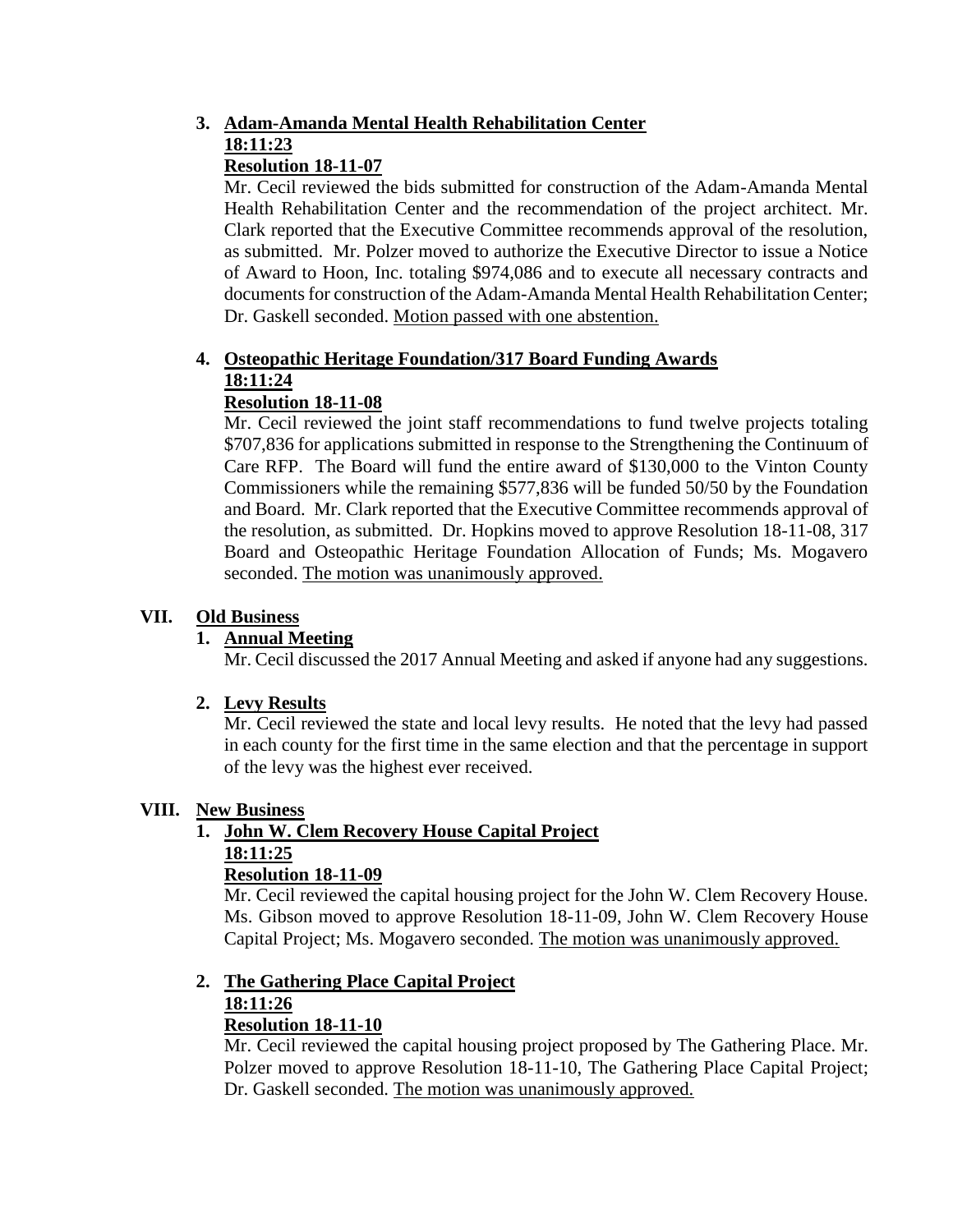# **3. Adam-Amanda Mental Health Rehabilitation Center 18:11:23**

# **Resolution 18-11-07**

Mr. Cecil reviewed the bids submitted for construction of the Adam-Amanda Mental Health Rehabilitation Center and the recommendation of the project architect. Mr. Clark reported that the Executive Committee recommends approval of the resolution, as submitted. Mr. Polzer moved to authorize the Executive Director to issue a Notice of Award to Hoon, Inc. totaling \$974,086 and to execute all necessary contracts and documents for construction of the Adam-Amanda Mental Health Rehabilitation Center; Dr. Gaskell seconded. Motion passed with one abstention.

#### **4. Osteopathic Heritage Foundation/317 Board Funding Awards 18:11:24 Resolution 18-11-08**

Mr. Cecil reviewed the joint staff recommendations to fund twelve projects totaling \$707,836 for applications submitted in response to the Strengthening the Continuum of Care RFP. The Board will fund the entire award of \$130,000 to the Vinton County Commissioners while the remaining \$577,836 will be funded 50/50 by the Foundation and Board. Mr. Clark reported that the Executive Committee recommends approval of the resolution, as submitted. Dr. Hopkins moved to approve Resolution 18-11-08, 317 Board and Osteopathic Heritage Foundation Allocation of Funds; Ms. Mogavero seconded. The motion was unanimously approved.

# **VII. Old Business**

### **1. Annual Meeting**

Mr. Cecil discussed the 2017 Annual Meeting and asked if anyone had any suggestions.

### **2. Levy Results**

Mr. Cecil reviewed the state and local levy results. He noted that the levy had passed in each county for the first time in the same election and that the percentage in support of the levy was the highest ever received.

### **VIII. New Business**

### **1. John W. Clem Recovery House Capital Project 18:11:25**

### **Resolution 18-11-09**

Mr. Cecil reviewed the capital housing project for the John W. Clem Recovery House. Ms. Gibson moved to approve Resolution 18-11-09, John W. Clem Recovery House Capital Project; Ms. Mogavero seconded. The motion was unanimously approved.

#### **2. The Gathering Place Capital Project 18:11:26**

### **Resolution 18-11-10**

Mr. Cecil reviewed the capital housing project proposed by The Gathering Place. Mr. Polzer moved to approve Resolution 18-11-10, The Gathering Place Capital Project; Dr. Gaskell seconded. The motion was unanimously approved.